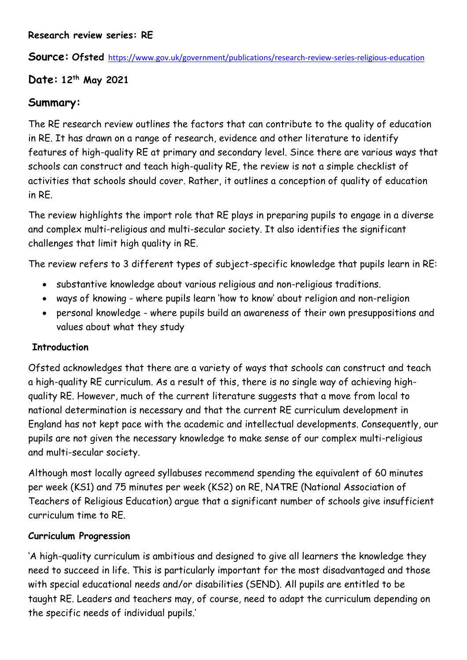**Source: Ofsted** <https://www.gov.uk/government/publications/research-review-series-religious-education>

## **Date: 12th May 2021**

## **Summary:**

The RE research review outlines the factors that can contribute to the quality of education in RE. It has drawn on a range of research, evidence and other literature to identify features of high-quality RE at primary and secondary level. Since there are various ways that schools can construct and teach high-quality RE, the review is not a simple checklist of activities that schools should cover. Rather, it outlines a conception of quality of education in RE.

The review highlights the import role that RE plays in preparing pupils to engage in a diverse and complex multi-religious and multi-secular society. It also identifies the significant challenges that limit high quality in RE.

The review refers to 3 different types of subject-specific knowledge that pupils learn in RE:

- substantive knowledge about various religious and non-religious traditions.
- ways of knowing where pupils learn 'how to know' about religion and non-religion
- personal knowledge where pupils build an awareness of their own presuppositions and values about what they study

## **Introduction**

Ofsted acknowledges that there are a variety of ways that schools can construct and teach a high-quality RE curriculum. As a result of this, there is no single way of achieving highquality RE. However, much of the current literature suggests that a move from local to national determination is necessary and that the current RE curriculum development in England has not kept pace with the academic and intellectual developments. Consequently, our pupils are not given the necessary knowledge to make sense of our complex multi-religious and multi-secular society.

Although most locally agreed syllabuses recommend spending the equivalent of 60 minutes per week (KS1) and 75 minutes per week (KS2) on RE, NATRE (National Association of Teachers of Religious Education) argue that a significant number of schools give insufficient curriculum time to RE.

## **Curriculum Progression**

'A high-quality curriculum is ambitious and designed to give all learners the knowledge they need to succeed in life. This is particularly important for the most disadvantaged and those with special educational needs and/or disabilities (SEND). All pupils are entitled to be taught RE. Leaders and teachers may, of course, need to adapt the curriculum depending on the specific needs of individual pupils.'